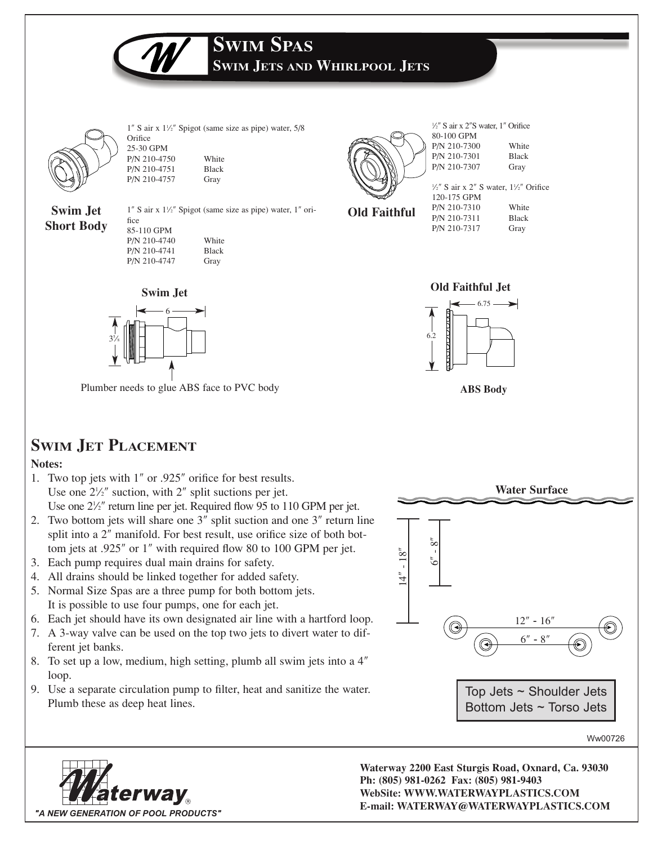**SWIM JETS AND WHIRLPOOL JETS**

**SWIM SPAS**



**Short Body**

 $1''$  S air x  $1\frac{1}{2}''$  Spigot (same size as pipe) water,  $5/8$ **Orifice** 25-30 GPM P/N 210-4750 White

**Swim Jet** P/N 210-4751 Black P/N 210-4757 Gray

1″ S air x 11 ⁄2″ Spigot (same size as pipe) water, 1″ orifice

| 85-110 GPM   |              |
|--------------|--------------|
| P/N 210-4740 | White        |
| P/N 210-4741 | <b>Black</b> |
| P/N 210-4747 | Gray         |



1 ⁄2″ S air x 2″S water, 1″ Orifice 80-100 GPM P/N 210-7300 White P/N 210-7301 Black P/N 210-7307 Gray

**Old Faithful**

|              | $\frac{1}{2}$ " S air x 2" S water, $\frac{1}{2}$ " Orifice |
|--------------|-------------------------------------------------------------|
| 120-175 GPM  |                                                             |
| P/N 210-7310 | White                                                       |
| P/N 210-7311 | <b>Black</b>                                                |
| P/N 210-7317 | Gray                                                        |



6

Plumber needs to glue ABS face to PVC body **ABS Body**

### **SWIM JET PLACEMENT**

35 ⁄8

### **Notes:**

- 1. Two top jets with 1″ or .925″ orifice for best results. Use one  $2\frac{1}{2}$  suction, with  $2$ <sup>"</sup> split suctions per jet. Use one  $2\frac{1}{2}$ " return line per jet. Required flow 95 to 110 GPM per jet.
- 2. Two bottom jets will share one 3″ split suction and one 3″ return line split into a 2″ manifold. For best result, use orifice size of both bottom jets at .925″ or 1″ with required flow 80 to 100 GPM per jet.
- 3. Each pump requires dual main drains for safety.
- 4. All drains should be linked together for added safety.
- 5. Normal Size Spas are a three pump for both bottom jets. It is possible to use four pumps, one for each jet.
- 6. Each jet should have its own designated air line with a hartford loop.
- 7. A 3-way valve can be used on the top two jets to divert water to different jet banks.
- 8. To set up a low, medium, high setting, plumb all swim jets into a 4″ loop.
- 9. Use a separate circulation pump to filter, heat and sanitize the water. Plumb these as deep heat lines.





**Waterway 2200 East Sturgis Road, Oxnard, Ca. 93030 Ph: (805) 981-0262 Fax: (805) 981-9403 WebSite: WWW.WATERWAYPLASTICS.COM E-mail: WATERWAY@WATERWAYPLASTICS.COM**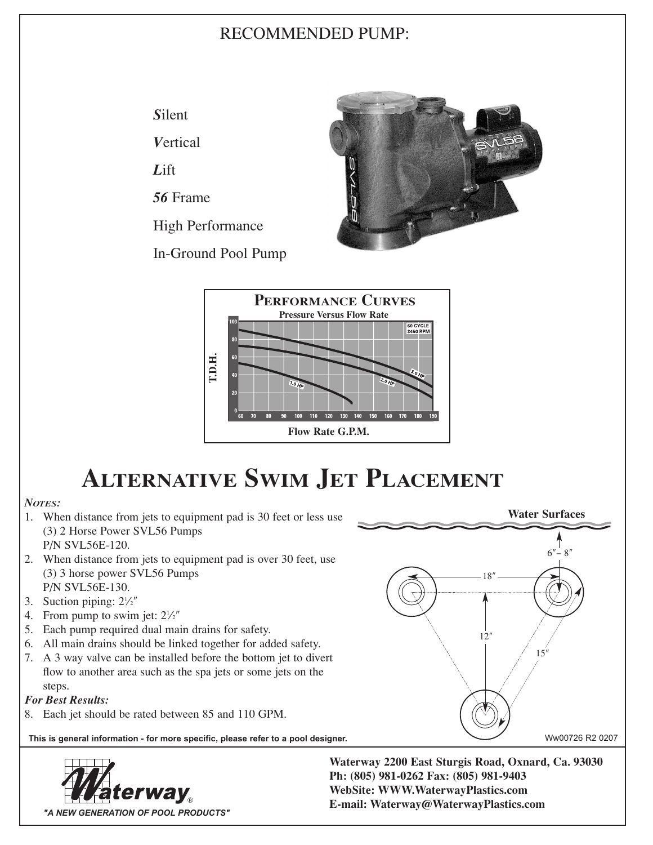## RECOMMENDED PUMP:

*S*ilent

*V*ertical

*L*ift

*56* Frame

High Performance

In-Ground Pool Pump





# **ALTERNATIVE SWIM JET PLACEMENT**

### *NOTES:*

- 1. When distance from jets to equipment pad is 30 feet or less use (3) 2 Horse Power SVL56 Pumps P/N SVL56E-120.
- 
- 2. When distance from jets to equipment pad is over 30 feet, use (3) 3 horse power SVL56 Pumps P/N SVL56E-130.
- 3. Suction piping:  $2\frac{1}{2}$
- 4. From pump to swim jet:  $2\frac{1}{2}$
- 5. Each pump required dual main drains for safety.
- 6. All main drains should be linked together for added safety.
- 7. A 3 way valve can be installed before the bottom jet to divert flow to another area such as the spa jets or some jets on the steps.

### *For Best Results:*

8. Each jet should be rated between 85 and 110 GPM.

This is general information - for more specific, please refer to a pool designer. Www. Ww00726 R2 0207